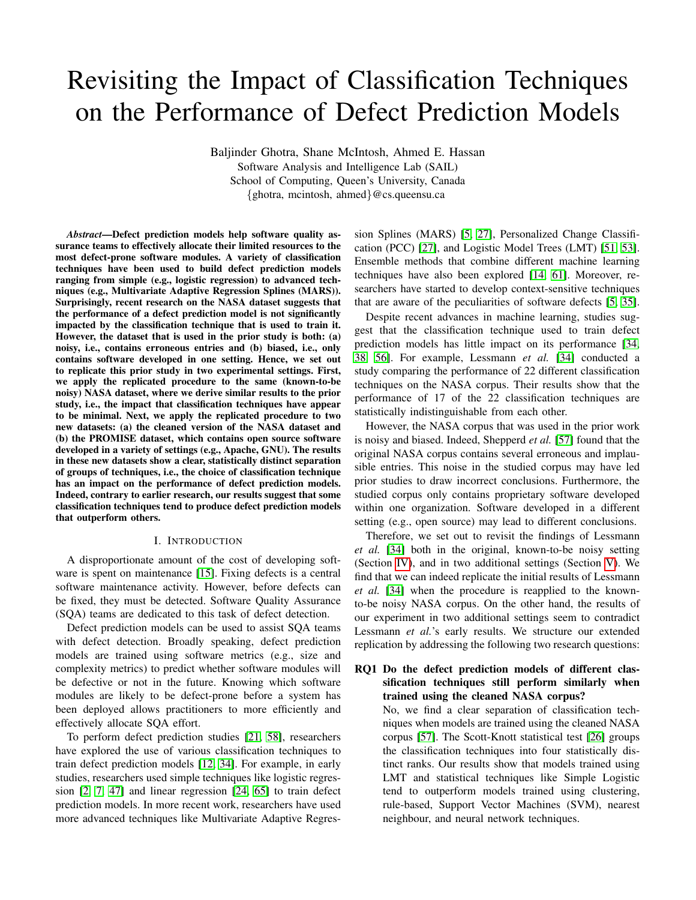# <span id="page-0-0"></span>Revisiting the Impact of Classification Techniques on the Performance of Defect Prediction Models

Baljinder Ghotra, Shane McIntosh, Ahmed E. Hassan Software Analysis and Intelligence Lab (SAIL) School of Computing, Queen's University, Canada {ghotra, mcintosh, ahmed}@cs.queensu.ca

*Abstract*—Defect prediction models help software quality assurance teams to effectively allocate their limited resources to the most defect-prone software modules. A variety of classification techniques have been used to build defect prediction models ranging from simple (e.g., logistic regression) to advanced techniques (e.g., Multivariate Adaptive Regression Splines (MARS)). Surprisingly, recent research on the NASA dataset suggests that the performance of a defect prediction model is not significantly impacted by the classification technique that is used to train it. However, the dataset that is used in the prior study is both: (a) noisy, i.e., contains erroneous entries and (b) biased, i.e., only contains software developed in one setting. Hence, we set out to replicate this prior study in two experimental settings. First, we apply the replicated procedure to the same (known-to-be noisy) NASA dataset, where we derive similar results to the prior study, i.e., the impact that classification techniques have appear to be minimal. Next, we apply the replicated procedure to two new datasets: (a) the cleaned version of the NASA dataset and (b) the PROMISE dataset, which contains open source software developed in a variety of settings (e.g., Apache, GNU). The results in these new datasets show a clear, statistically distinct separation of groups of techniques, i.e., the choice of classification technique has an impact on the performance of defect prediction models. Indeed, contrary to earlier research, our results suggest that some classification techniques tend to produce defect prediction models that outperform others.

#### I. INTRODUCTION

A disproportionate amount of the cost of developing software is spent on maintenance [\[15\]](#page-9-0). Fixing defects is a central software maintenance activity. However, before defects can be fixed, they must be detected. Software Quality Assurance (SQA) teams are dedicated to this task of defect detection.

Defect prediction models can be used to assist SQA teams with defect detection. Broadly speaking, defect prediction models are trained using software metrics (e.g., size and complexity metrics) to predict whether software modules will be defective or not in the future. Knowing which software modules are likely to be defect-prone before a system has been deployed allows practitioners to more efficiently and effectively allocate SQA effort.

To perform defect prediction studies [\[21,](#page-10-0) [58\]](#page-11-0), researchers have explored the use of various classification techniques to train defect prediction models [\[12,](#page-9-1) [34\]](#page-10-1). For example, in early studies, researchers used simple techniques like logistic regression [\[2,](#page-9-2) [7,](#page-9-3) [47\]](#page-11-1) and linear regression [\[24,](#page-10-2) [65\]](#page-11-2) to train defect prediction models. In more recent work, researchers have used more advanced techniques like Multivariate Adaptive Regres-

sion Splines (MARS) [\[5,](#page-9-4) [27\]](#page-10-3), Personalized Change Classification (PCC) [\[27\]](#page-10-3), and Logistic Model Trees (LMT) [\[51,](#page-11-3) [53\]](#page-11-4). Ensemble methods that combine different machine learning techniques have also been explored [\[14,](#page-9-5) [61\]](#page-11-5). Moreover, researchers have started to develop context-sensitive techniques that are aware of the peculiarities of software defects [\[5,](#page-9-4) [35\]](#page-10-4).

Despite recent advances in machine learning, studies suggest that the classification technique used to train defect prediction models has little impact on its performance [\[34,](#page-10-1) [38,](#page-10-5) [56\]](#page-11-6). For example, Lessmann *et al.* [\[34\]](#page-10-1) conducted a study comparing the performance of 22 different classification techniques on the NASA corpus. Their results show that the performance of 17 of the 22 classification techniques are statistically indistinguishable from each other.

However, the NASA corpus that was used in the prior work is noisy and biased. Indeed, Shepperd *et al.* [\[57\]](#page-11-7) found that the original NASA corpus contains several erroneous and implausible entries. This noise in the studied corpus may have led prior studies to draw incorrect conclusions. Furthermore, the studied corpus only contains proprietary software developed within one organization. Software developed in a different setting (e.g., open source) may lead to different conclusions.

Therefore, we set out to revisit the findings of Lessmann *et al.* [\[34\]](#page-10-1) both in the original, known-to-be noisy setting (Section [IV\)](#page-5-0), and in two additional settings (Section [V\)](#page-5-1). We find that we can indeed replicate the initial results of Lessmann *et al.* [\[34\]](#page-10-1) when the procedure is reapplied to the knownto-be noisy NASA corpus. On the other hand, the results of our experiment in two additional settings seem to contradict Lessmann *et al.*'s early results. We structure our extended replication by addressing the following two research questions:

# RQ1 Do the defect prediction models of different classification techniques still perform similarly when trained using the cleaned NASA corpus?

No, we find a clear separation of classification techniques when models are trained using the cleaned NASA corpus [\[57\]](#page-11-7). The Scott-Knott statistical test [\[26\]](#page-10-6) groups the classification techniques into four statistically distinct ranks. Our results show that models trained using LMT and statistical techniques like Simple Logistic tend to outperform models trained using clustering, rule-based, Support Vector Machines (SVM), nearest neighbour, and neural network techniques.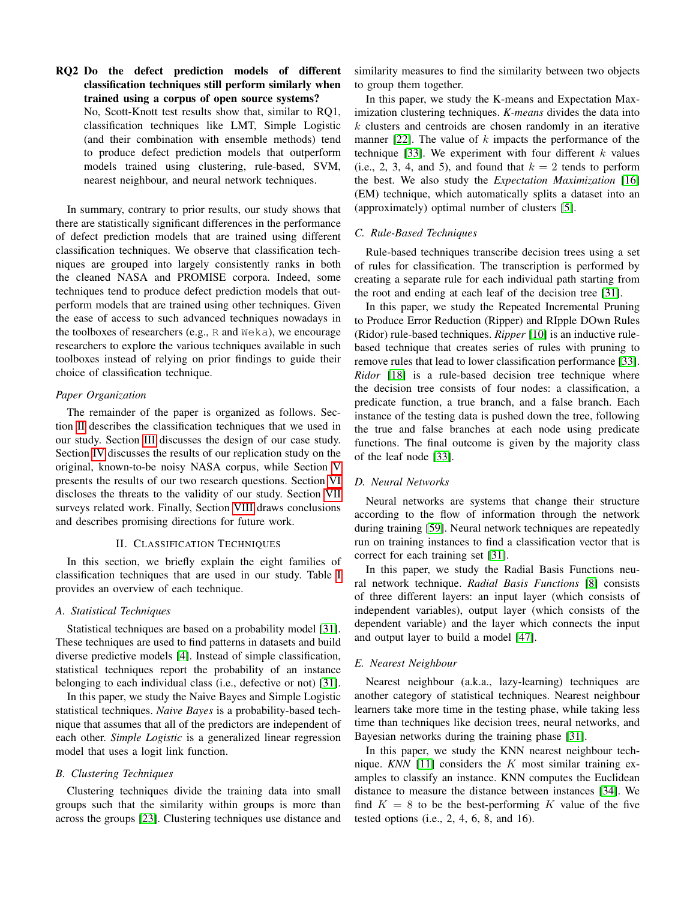RQ2 Do the defect prediction models of different classification techniques still perform similarly when trained using a corpus of open source systems? No, Scott-Knott test results show that, similar to RQ1, classification techniques like LMT, Simple Logistic (and their combination with ensemble methods) tend to produce defect prediction models that outperform models trained using clustering, rule-based, SVM, nearest neighbour, and neural network techniques.

In summary, contrary to prior results, our study shows that there are statistically significant differences in the performance of defect prediction models that are trained using different classification techniques. We observe that classification techniques are grouped into largely consistently ranks in both the cleaned NASA and PROMISE corpora. Indeed, some techniques tend to produce defect prediction models that outperform models that are trained using other techniques. Given the ease of access to such advanced techniques nowadays in the toolboxes of researchers (e.g., R and Weka), we encourage researchers to explore the various techniques available in such toolboxes instead of relying on prior findings to guide their choice of classification technique.

# *Paper Organization*

The remainder of the paper is organized as follows. Section [II](#page-1-0) describes the classification techniques that we used in our study. Section [III](#page-2-0) discusses the design of our case study. Section [IV](#page-5-0) discusses the results of our replication study on the original, known-to-be noisy NASA corpus, while Section [V](#page-5-1) presents the results of our two research questions. Section [VI](#page-8-0) discloses the threats to the validity of our study. Section [VII](#page-8-1) surveys related work. Finally, Section [VIII](#page-9-6) draws conclusions and describes promising directions for future work.

# II. CLASSIFICATION TECHNIQUES

<span id="page-1-0"></span>In this section, we briefly explain the eight families of classification techniques that are used in our study. Table [I](#page-2-1) provides an overview of each technique.

# *A. Statistical Techniques*

Statistical techniques are based on a probability model [\[31\]](#page-10-7). These techniques are used to find patterns in datasets and build diverse predictive models [\[4\]](#page-9-7). Instead of simple classification, statistical techniques report the probability of an instance belonging to each individual class (i.e., defective or not) [\[31\]](#page-10-7).

In this paper, we study the Naive Bayes and Simple Logistic statistical techniques. *Naive Bayes* is a probability-based technique that assumes that all of the predictors are independent of each other. *Simple Logistic* is a generalized linear regression model that uses a logit link function.

# *B. Clustering Techniques*

Clustering techniques divide the training data into small groups such that the similarity within groups is more than across the groups [\[23\]](#page-10-8). Clustering techniques use distance and similarity measures to find the similarity between two objects to group them together.

In this paper, we study the K-means and Expectation Maximization clustering techniques. *K-means* divides the data into  $k$  clusters and centroids are chosen randomly in an iterative manner [\[22\]](#page-10-9). The value of  $k$  impacts the performance of the technique [\[33\]](#page-10-10). We experiment with four different  $k$  values (i.e., 2, 3, 4, and 5), and found that  $k = 2$  tends to perform the best. We also study the *Expectation Maximization* [\[16\]](#page-9-8) (EM) technique, which automatically splits a dataset into an (approximately) optimal number of clusters [\[5\]](#page-9-4).

#### *C. Rule-Based Techniques*

Rule-based techniques transcribe decision trees using a set of rules for classification. The transcription is performed by creating a separate rule for each individual path starting from the root and ending at each leaf of the decision tree [\[31\]](#page-10-7).

In this paper, we study the Repeated Incremental Pruning to Produce Error Reduction (Ripper) and RIpple DOwn Rules (Ridor) rule-based techniques. *Ripper* [\[10\]](#page-9-9) is an inductive rulebased technique that creates series of rules with pruning to remove rules that lead to lower classification performance [\[33\]](#page-10-10). *Ridor* [\[18\]](#page-9-10) is a rule-based decision tree technique where the decision tree consists of four nodes: a classification, a predicate function, a true branch, and a false branch. Each instance of the testing data is pushed down the tree, following the true and false branches at each node using predicate functions. The final outcome is given by the majority class of the leaf node [\[33\]](#page-10-10).

#### *D. Neural Networks*

Neural networks are systems that change their structure according to the flow of information through the network during training [\[59\]](#page-11-8). Neural network techniques are repeatedly run on training instances to find a classification vector that is correct for each training set [\[31\]](#page-10-7).

In this paper, we study the Radial Basis Functions neural network technique. *Radial Basis Functions* [\[8\]](#page-9-11) consists of three different layers: an input layer (which consists of independent variables), output layer (which consists of the dependent variable) and the layer which connects the input and output layer to build a model [\[47\]](#page-11-1).

# *E. Nearest Neighbour*

Nearest neighbour (a.k.a., lazy-learning) techniques are another category of statistical techniques. Nearest neighbour learners take more time in the testing phase, while taking less time than techniques like decision trees, neural networks, and Bayesian networks during the training phase [\[31\]](#page-10-7).

In this paper, we study the KNN nearest neighbour technique. *KNN* [\[11\]](#page-9-12) considers the K most similar training examples to classify an instance. KNN computes the Euclidean distance to measure the distance between instances [\[34\]](#page-10-1). We find  $K = 8$  to be the best-performing K value of the five tested options (i.e., 2, 4, 6, 8, and 16).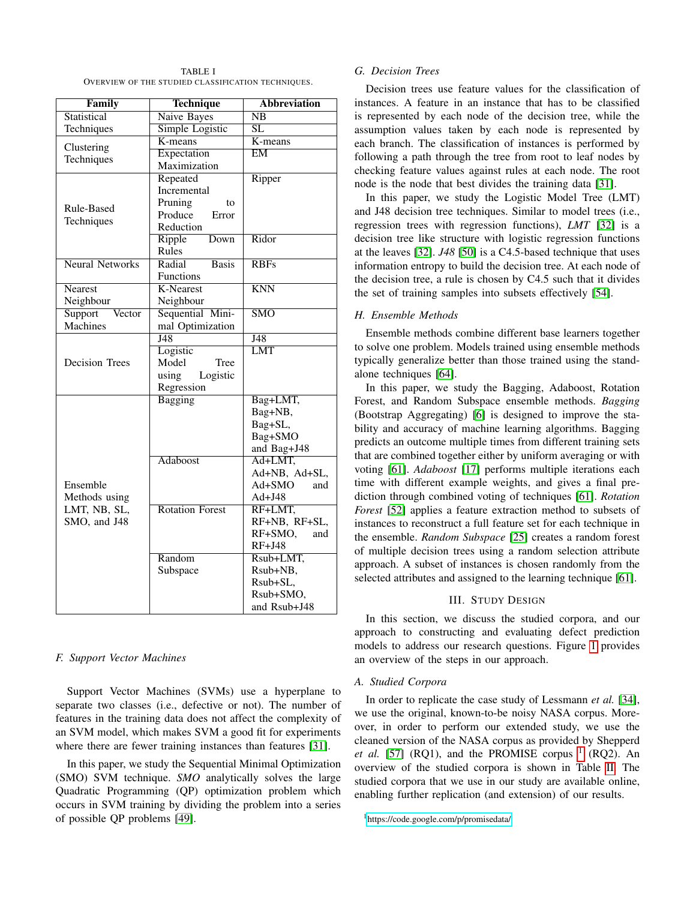| TABLE I                                            |  |
|----------------------------------------------------|--|
| OVERVIEW OF THE STUDIED CLASSIFICATION TECHNIQUES. |  |

<span id="page-2-1"></span>

| Family                 | <b>Technique</b>       | <b>Abbreviation</b>     |
|------------------------|------------------------|-------------------------|
| Statistical            | Naive Bayes            | $\overline{NB}$         |
| Techniques             | Simple Logistic        | $\overline{\text{SL}}$  |
| Clustering             | K-means                | K-means                 |
| Techniques             | Expectation            | EM                      |
|                        | Maximization           |                         |
|                        | Repeated               | Ripper                  |
|                        | Incremental            |                         |
| Rule-Based             | Pruning<br>to          |                         |
| Techniques             | Produce<br>Error       |                         |
|                        | Reduction              |                         |
|                        | Ripple<br>Down         | Ridor                   |
|                        | Rules                  |                         |
| <b>Neural Networks</b> | Radial<br><b>Basis</b> | <b>RBFs</b>             |
|                        | Functions              |                         |
| <b>Nearest</b>         | K-Nearest              | <b>KNN</b>              |
| Neighbour              | Neighbour              |                         |
| Vector<br>Support      | Sequential Mini-       | $\overline{\text{SMO}}$ |
| Machines               | mal Optimization       |                         |
|                        | $\overline{J48}$       | J48                     |
|                        | Logistic               | <b>LMT</b>              |
| <b>Decision Trees</b>  | Model<br>Tree          |                         |
|                        | Logistic<br>using      |                         |
|                        | Regression             |                         |
|                        | Bagging                | Bag+LMT,                |
|                        |                        | Bag+NB,                 |
|                        |                        | Bag+SL,                 |
|                        |                        | Bag+SMO                 |
|                        |                        | and Bag+J48             |
|                        | Adaboost               | Ad+LMT,                 |
|                        |                        | Ad+NB, Ad+SL,           |
| Ensemble               |                        | Ad+SMO<br>and           |
| Methods using          |                        | $Ad+J48$                |
| LMT, NB, SL,           | <b>Rotation Forest</b> | RF+LMT,                 |
| SMO, and J48           |                        | RF+NB, RF+SL,           |
|                        |                        | RF+SMO,<br>and          |
|                        |                        | $RF+J48$                |
|                        | Random                 | Rsub+LMT,               |
|                        | Subspace               | Rsub+NB,                |
|                        |                        | Rsub+SL,                |
|                        |                        | Rsub+SMO,               |
|                        |                        | and Rsub+J48            |

# *F. Support Vector Machines*

Support Vector Machines (SVMs) use a hyperplane to separate two classes (i.e., defective or not). The number of features in the training data does not affect the complexity of an SVM model, which makes SVM a good fit for experiments where there are fewer training instances than features [\[31\]](#page-10-7).

In this paper, we study the Sequential Minimal Optimization (SMO) SVM technique. *SMO* analytically solves the large Quadratic Programming (QP) optimization problem which occurs in SVM training by dividing the problem into a series of possible QP problems [\[49\]](#page-11-9).

# *G. Decision Trees*

Decision trees use feature values for the classification of instances. A feature in an instance that has to be classified is represented by each node of the decision tree, while the assumption values taken by each node is represented by each branch. The classification of instances is performed by following a path through the tree from root to leaf nodes by checking feature values against rules at each node. The root node is the node that best divides the training data [\[31\]](#page-10-7).

In this paper, we study the Logistic Model Tree (LMT) and J48 decision tree techniques. Similar to model trees (i.e., regression trees with regression functions), *LMT* [\[32\]](#page-10-11) is a decision tree like structure with logistic regression functions at the leaves [\[32\]](#page-10-11). *J48* [\[50\]](#page-11-10) is a C4.5-based technique that uses information entropy to build the decision tree. At each node of the decision tree, a rule is chosen by C4.5 such that it divides the set of training samples into subsets effectively [\[54\]](#page-11-11).

# *H. Ensemble Methods*

Ensemble methods combine different base learners together to solve one problem. Models trained using ensemble methods typically generalize better than those trained using the standalone techniques [\[64\]](#page-11-12).

In this paper, we study the Bagging, Adaboost, Rotation Forest, and Random Subspace ensemble methods. *Bagging* (Bootstrap Aggregating) [\[6\]](#page-9-13) is designed to improve the stability and accuracy of machine learning algorithms. Bagging predicts an outcome multiple times from different training sets that are combined together either by uniform averaging or with voting [\[61\]](#page-11-5). *Adaboost* [\[17\]](#page-9-14) performs multiple iterations each time with different example weights, and gives a final prediction through combined voting of techniques [\[61\]](#page-11-5). *Rotation Forest* [\[52\]](#page-11-13) applies a feature extraction method to subsets of instances to reconstruct a full feature set for each technique in the ensemble. *Random Subspace* [\[25\]](#page-10-12) creates a random forest of multiple decision trees using a random selection attribute approach. A subset of instances is chosen randomly from the selected attributes and assigned to the learning technique [\[61\]](#page-11-5).

# III. STUDY DESIGN

<span id="page-2-0"></span>In this section, we discuss the studied corpora, and our approach to constructing and evaluating defect prediction models to address our research questions. Figure [1](#page-3-0) provides an overview of the steps in our approach.

# *A. Studied Corpora*

In order to replicate the case study of Lessmann *et al.* [\[34\]](#page-10-1), we use the original, known-to-be noisy NASA corpus. Moreover, in order to perform our extended study, we use the cleaned version of the NASA corpus as provided by Shepperd *et al.* [\[57\]](#page-11-7) (RQ[1](#page-2-2)), and the PROMISE corpus  $<sup>1</sup>$  (RQ2). An</sup> overview of the studied corpora is shown in Table [II.](#page-3-1) The studied corpora that we use in our study are available online, enabling further replication (and extension) of our results.

<span id="page-2-2"></span><sup>1</sup><https://code.google.com/p/promisedata/>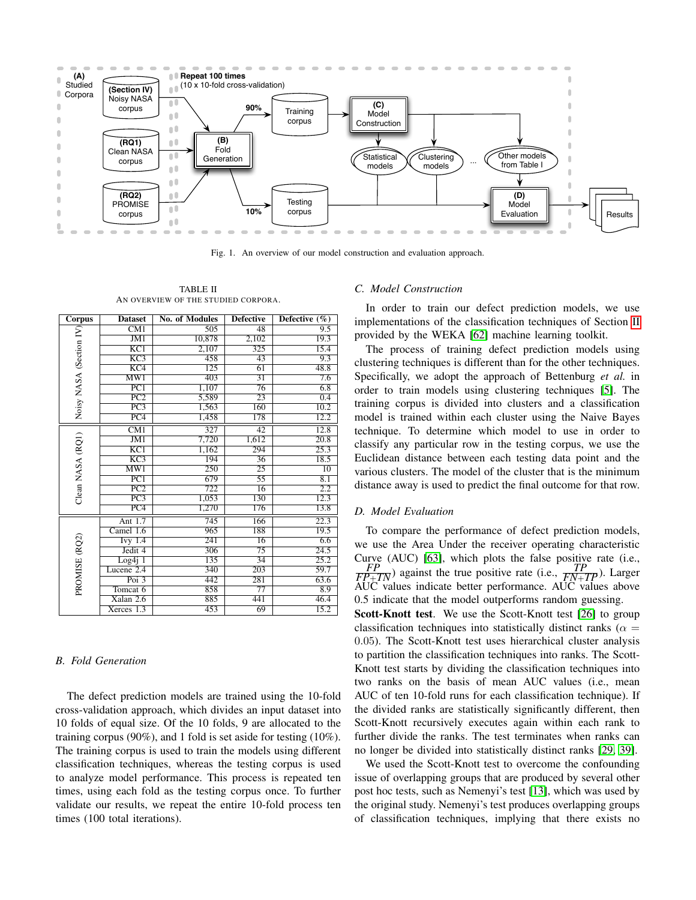

<span id="page-3-0"></span>Fig. 1. An overview of our model construction and evaluation approach.

TABLE II AN OVERVIEW OF THE STUDIED CORPORA.

<span id="page-3-1"></span>

| <b>Corpus</b>           | <b>Dataset</b>          | <b>No. of Modules</b> | <b>Defective</b> | Defective $(\%)$  |
|-------------------------|-------------------------|-----------------------|------------------|-------------------|
|                         | CM1                     | 505                   | 48               | 9.5               |
|                         | JM1                     | 10,878                | 2,102            | 19.3              |
|                         | KC1                     | 2,107                 | 325              | 15.4              |
|                         | KC3                     | 458                   | 43               | 9.3               |
|                         | KC4                     | 125                   | 61               | 48.8              |
|                         | MW1                     | 403                   | 31               | 7.6               |
| Noisy NASA (Section IV) | PC1                     | 1,107                 | 76               | 6.8               |
|                         | PC2                     | 5,589                 | 23               | 0.4               |
|                         | $\overline{PC3}$        | 1,563                 | 160              | 10.2              |
|                         | $\overline{PC4}$        | 1,458                 | 178              | 12.2              |
|                         | CM1                     | 327                   | 42               | 12.8              |
| Clean NASA (RQ1)        | JM1                     | 7,720                 | 1,612            | 20.8              |
|                         | KCl                     | 1,162                 | 294              | $\overline{25.3}$ |
|                         | $\overline{KC3}$        | 194                   | 36               | 18.5              |
|                         | $\overline{\text{MW1}}$ | 250                   | $\overline{25}$  | $\overline{10}$   |
|                         | PC1                     | 679                   | $\overline{55}$  | 8.1               |
|                         | $\overline{PC2}$        | 722                   | 16               | $\overline{2.2}$  |
|                         | $\overline{PC3}$        | 1,053                 | 130              | 12.3              |
|                         | $\overline{PC4}$        | 1,270                 | 176              | 13.8              |
|                         | Ant 1.7                 | 745                   | 166              | $\overline{22.3}$ |
|                         | Camel 1.6               | 965                   | 188              | 19.5              |
|                         | $Ivy$ 1.4               | $\overline{241}$      | 16               | 6.6               |
|                         | Jedit 4                 | 306                   | $\overline{75}$  | 24.5              |
|                         | Log4j1                  | 135                   | 34               | $\overline{25.2}$ |
| PROMISE (RQ2)           | Lucene 2.4              | 340                   | 203              | 59.7              |
|                         | Poi $3$                 | 442                   | 281              | 63.6              |
|                         | Tomcat 6                | 858                   | 77               | 8.9               |
|                         | Xalan 2.6               | 885                   | 441              | 46.4              |
|                         | Xerces 1.3              | 453                   | 69               | 15.2              |

#### *B. Fold Generation*

The defect prediction models are trained using the 10-fold cross-validation approach, which divides an input dataset into 10 folds of equal size. Of the 10 folds, 9 are allocated to the training corpus (90%), and 1 fold is set aside for testing (10%). The training corpus is used to train the models using different classification techniques, whereas the testing corpus is used to analyze model performance. This process is repeated ten times, using each fold as the testing corpus once. To further validate our results, we repeat the entire 10-fold process ten times (100 total iterations).

# *C. Model Construction*

In order to train our defect prediction models, we use implementations of the classification techniques of Section [II](#page-1-0) provided by the WEKA [\[62\]](#page-11-14) machine learning toolkit.

The process of training defect prediction models using clustering techniques is different than for the other techniques. Specifically, we adopt the approach of Bettenburg *et al.* in order to train models using clustering techniques [\[5\]](#page-9-4). The training corpus is divided into clusters and a classification model is trained within each cluster using the Naive Bayes technique. To determine which model to use in order to classify any particular row in the testing corpus, we use the Euclidean distance between each testing data point and the various clusters. The model of the cluster that is the minimum distance away is used to predict the final outcome for that row.

# *D. Model Evaluation*

To compare the performance of defect prediction models, we use the Area Under the receiver operating characteristic Curve (AUC) [\[63\]](#page-11-15), which plots the false positive rate (i.e.,  $\frac{FP}{FP+TN}$ ) against the true positive rate (i.e.,  $\frac{TP}{FN+TP}$ ). Larger AUC values indicate better performance. AUC values above 0.5 indicate that the model outperforms random guessing. Scott-Knott test. We use the Scott-Knott test [\[26\]](#page-10-6) to group classification techniques into statistically distinct ranks ( $\alpha$  = 0.05). The Scott-Knott test uses hierarchical cluster analysis to partition the classification techniques into ranks. The Scott-Knott test starts by dividing the classification techniques into two ranks on the basis of mean AUC values (i.e., mean AUC of ten 10-fold runs for each classification technique). If the divided ranks are statistically significantly different, then Scott-Knott recursively executes again within each rank to further divide the ranks. The test terminates when ranks can no longer be divided into statistically distinct ranks [\[29,](#page-10-13) [39\]](#page-10-14).

We used the Scott-Knott test to overcome the confounding issue of overlapping groups that are produced by several other post hoc tests, such as Nemenyi's test [\[13\]](#page-9-15), which was used by the original study. Nemenyi's test produces overlapping groups of classification techniques, implying that there exists no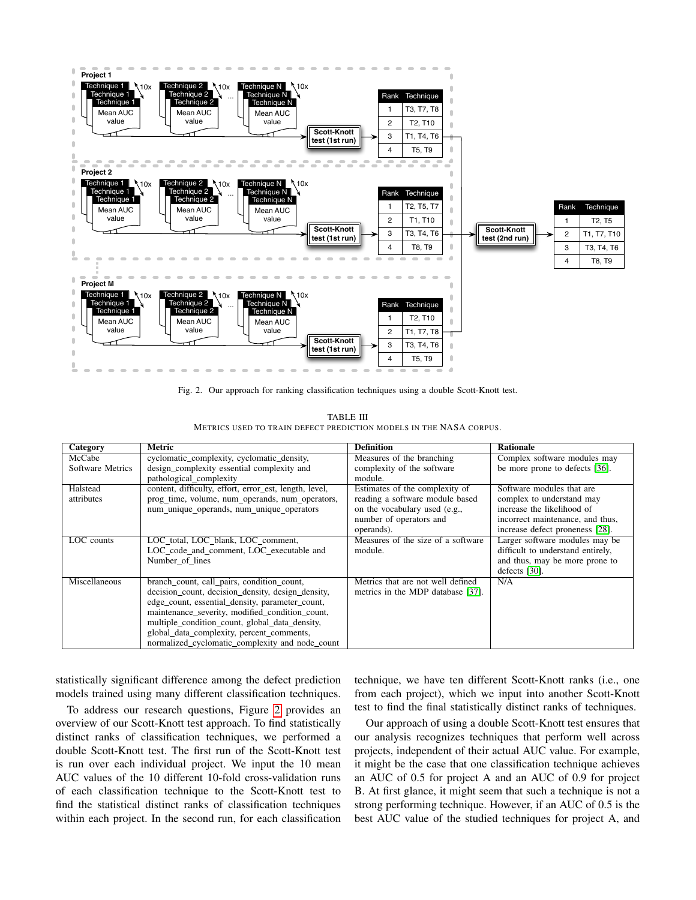

<span id="page-4-0"></span>Fig. 2. Our approach for ranking classification techniques using a double Scott-Knott test.

| TABLE III |                                                                    |  |  |  |  |
|-----------|--------------------------------------------------------------------|--|--|--|--|
|           | METRICS USED TO TRAIN DEFECT PREDICTION MODELS IN THE NASA CORPUS. |  |  |  |  |

<span id="page-4-1"></span>

| Category         | Metric                                                 | <b>Definition</b>                  | <b>Rationale</b>                  |
|------------------|--------------------------------------------------------|------------------------------------|-----------------------------------|
| McCabe           | cyclomatic_complexity, cyclomatic_density,             | Measures of the branching          | Complex software modules may      |
| Software Metrics | design complexity essential complexity and             | complexity of the software         | be more prone to defects [36].    |
|                  | pathological complexity                                | module.                            |                                   |
| Halstead         | content, difficulty, effort, error est, length, level, | Estimates of the complexity of     | Software modules that are         |
| attributes       | prog time, volume, num operands, num operators,        | reading a software module based    | complex to understand may         |
|                  | num unique operands, num unique operators              | on the vocabulary used (e.g.,      | increase the likelihood of        |
|                  |                                                        | number of operators and            | incorrect maintenance, and thus,  |
|                  |                                                        | operands).                         | increase defect proneness [28].   |
| LOC counts       | LOC_total, LOC_blank, LOC_comment,                     | Measures of the size of a software | Larger software modules may be    |
|                  | LOC code and comment, LOC executable and               | module.                            | difficult to understand entirely, |
|                  | Number of lines                                        |                                    | and thus, may be more prone to    |
|                  |                                                        |                                    | defects [30].                     |
| Miscellaneous    | branch_count, call_pairs, condition_count,             | Metrics that are not well defined  | N/A                               |
|                  | decision_count, decision_density, design_density,      | metrics in the MDP database [37].  |                                   |
|                  | edge count, essential density, parameter count,        |                                    |                                   |
|                  | maintenance severity, modified condition count,        |                                    |                                   |
|                  | multiple condition count, global data density,         |                                    |                                   |
|                  | global data complexity, percent comments,              |                                    |                                   |
|                  | normalized cyclomatic complexity and node count        |                                    |                                   |

statistically significant difference among the defect prediction models trained using many different classification techniques.

To address our research questions, Figure [2](#page-4-0) provides an overview of our Scott-Knott test approach. To find statistically distinct ranks of classification techniques, we performed a double Scott-Knott test. The first run of the Scott-Knott test is run over each individual project. We input the 10 mean AUC values of the 10 different 10-fold cross-validation runs of each classification technique to the Scott-Knott test to find the statistical distinct ranks of classification techniques within each project. In the second run, for each classification technique, we have ten different Scott-Knott ranks (i.e., one from each project), which we input into another Scott-Knott test to find the final statistically distinct ranks of techniques.

Our approach of using a double Scott-Knott test ensures that our analysis recognizes techniques that perform well across projects, independent of their actual AUC value. For example, it might be the case that one classification technique achieves an AUC of 0.5 for project A and an AUC of 0.9 for project B. At first glance, it might seem that such a technique is not a strong performing technique. However, if an AUC of 0.5 is the best AUC value of the studied techniques for project A, and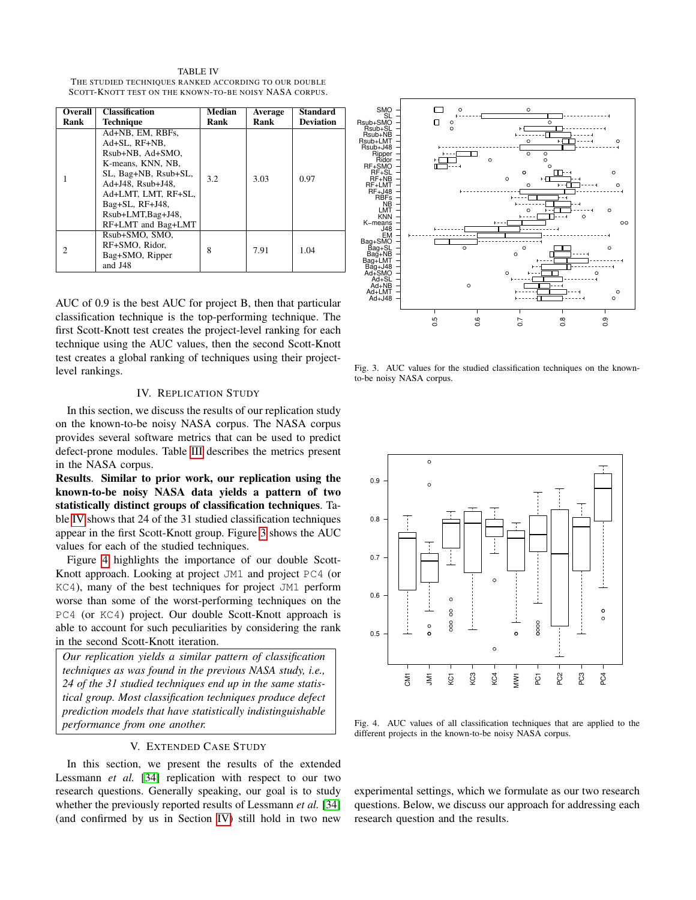<span id="page-5-2"></span>TABLE IV THE STUDIED TECHNIQUES RANKED ACCORDING TO OUR DOUBLE SCOTT-KNOTT TEST ON THE KNOWN-TO-BE NOISY NASA CORPUS.

| Overall | <b>Classification</b>                                                                                                                                                                                        | <b>Median</b> | Average | <b>Standard</b>  |
|---------|--------------------------------------------------------------------------------------------------------------------------------------------------------------------------------------------------------------|---------------|---------|------------------|
| Rank    | Technique                                                                                                                                                                                                    | <b>Rank</b>   | Rank    | <b>Deviation</b> |
|         | Ad+NB, EM, RBFs,<br>Ad+SL, RF+NB,<br>Rsub+NB, Ad+SMO,<br>K-means, KNN, NB.<br>SL, Bag+NB, Rsub+SL,<br>Ad+J48, Rsub+J48,<br>Ad+LMT, LMT, RF+SL,<br>Bag+SL, RF+J48,<br>Rsub+LMT,Bag+J48,<br>RF+LMT and Bag+LMT | 3.2           | 3.03    | 0.97             |
| 2       | Rsub+SMO, SMO,<br>RF+SMO, Ridor,<br>Bag+SMO, Ripper<br>and J48                                                                                                                                               | 8             | 7.91    | 1.04             |

AUC of 0.9 is the best AUC for project B, then that particular classification technique is the top-performing technique. The first Scott-Knott test creates the project-level ranking for each technique using the AUC values, then the second Scott-Knott test creates a global ranking of techniques using their projectlevel rankings.

## IV. REPLICATION STUDY

<span id="page-5-0"></span>In this section, we discuss the results of our replication study on the known-to-be noisy NASA corpus. The NASA corpus provides several software metrics that can be used to predict defect-prone modules. Table [III](#page-4-1) describes the metrics present in the NASA corpus.

Results. Similar to prior work, our replication using the known-to-be noisy NASA data yields a pattern of two statistically distinct groups of classification techniques. Table [IV](#page-5-2) shows that 24 of the 31 studied classification techniques appear in the first Scott-Knott group. Figure [3](#page-5-3) shows the AUC values for each of the studied techniques.

Figure [4](#page-5-4) highlights the importance of our double Scott-Knott approach. Looking at project JM1 and project PC4 (or KC4), many of the best techniques for project JM1 perform worse than some of the worst-performing techniques on the PC4 (or KC4) project. Our double Scott-Knott approach is able to account for such peculiarities by considering the rank in the second Scott-Knott iteration.

*Our replication yields a similar pattern of classification techniques as was found in the previous NASA study, i.e., 24 of the 31 studied techniques end up in the same statistical group. Most classification techniques produce defect prediction models that have statistically indistinguishable performance from one another.*

# V. EXTENDED CASE STUDY

<span id="page-5-1"></span>In this section, we present the results of the extended Lessmann *et al.* [\[34\]](#page-10-1) replication with respect to our two research questions. Generally speaking, our goal is to study whether the previously reported results of Lessmann *et al.* [\[34\]](#page-10-1) (and confirmed by us in Section [IV\)](#page-5-0) still hold in two new



<span id="page-5-3"></span>Fig. 3. AUC values for the studied classification techniques on the knownto-be noisy NASA corpus.



<span id="page-5-4"></span>Fig. 4. AUC values of all classification techniques that are applied to the different projects in the known-to-be noisy NASA corpus.

experimental settings, which we formulate as our two research questions. Below, we discuss our approach for addressing each research question and the results.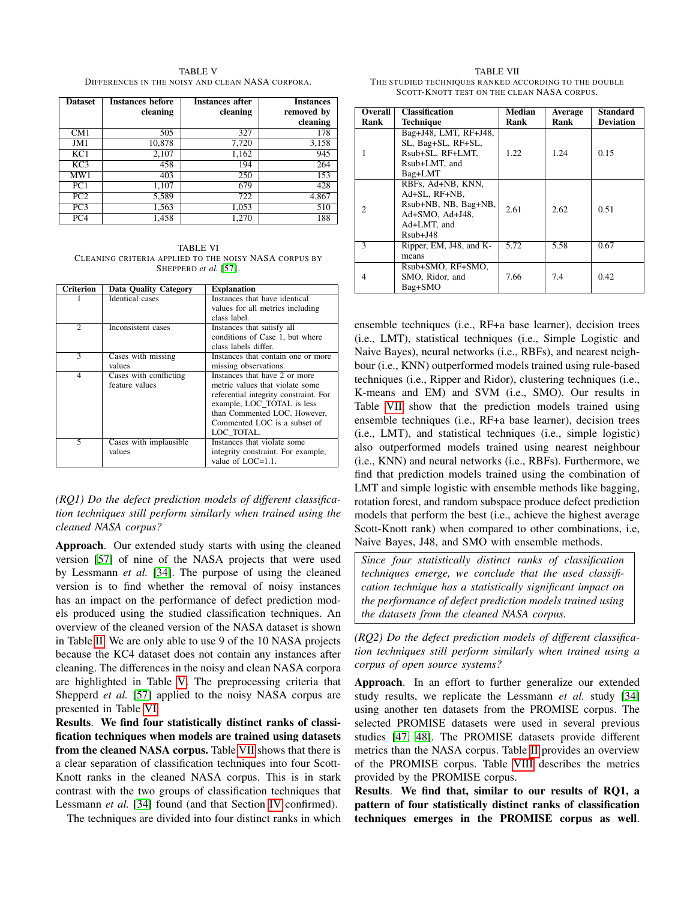TABLE V DIFFERENCES IN THE NOISY AND CLEAN NASA CORPORA.

<span id="page-6-0"></span>

| <b>Dataset</b>  | <b>Instances before</b><br>cleaning | <b>Instances after</b><br>cleaning | <b>Instances</b><br>removed by<br>cleaning |
|-----------------|-------------------------------------|------------------------------------|--------------------------------------------|
| CM1             | 505                                 | 327                                | 178                                        |
| JM1             | 10,878                              | 7,720                              | 3,158                                      |
| KC1             | 2,107                               | 1,162                              | 945                                        |
| KC <sub>3</sub> | 458                                 | 194                                | 264                                        |
| MW1             | 403                                 | 250                                | 153                                        |
| PC <sub>1</sub> | 1,107                               | 679                                | 428                                        |
| PC2             | 5,589                               | 722                                | 4,867                                      |
| PC3             | 1,563                               | 1,053                              | 510                                        |
| PC <sub>4</sub> | 1,458                               | 1,270                              | 188                                        |

<span id="page-6-1"></span>TABLE VI CLEANING CRITERIA APPLIED TO THE NOISY NASA CORPUS BY SHEPPERD *et al.* [\[57\]](#page-11-7).

| <b>Criterion</b> | <b>Data Quality Category</b>             | <b>Explanation</b>                                                                                                                                                                                                    |
|------------------|------------------------------------------|-----------------------------------------------------------------------------------------------------------------------------------------------------------------------------------------------------------------------|
|                  | Identical cases                          | Instances that have identical<br>values for all metrics including                                                                                                                                                     |
|                  |                                          | class label.                                                                                                                                                                                                          |
| $\overline{c}$   | Inconsistent cases                       | Instances that satisfy all<br>conditions of Case 1, but where<br>class labels differ.                                                                                                                                 |
| 3                | Cases with missing<br>values             | Instances that contain one or more<br>missing observations.                                                                                                                                                           |
| $\overline{4}$   | Cases with conflicting<br>feature values | Instances that have 2 or more<br>metric values that violate some<br>referential integrity constraint. For<br>example, LOC_TOTAL is less<br>than Commented LOC. However,<br>Commented LOC is a subset of<br>LOC_TOTAL. |
| 5                | Cases with implausible<br>values         | Instances that violate some<br>integrity constraint. For example,<br>value of $LOC=1.1$ .                                                                                                                             |

# *(RQ1) Do the defect prediction models of different classification techniques still perform similarly when trained using the cleaned NASA corpus?*

Approach. Our extended study starts with using the cleaned version [\[57\]](#page-11-7) of nine of the NASA projects that were used by Lessmann *et al.* [\[34\]](#page-10-1). The purpose of using the cleaned version is to find whether the removal of noisy instances has an impact on the performance of defect prediction models produced using the studied classification techniques. An overview of the cleaned version of the NASA dataset is shown in Table [II.](#page-3-1) We are only able to use 9 of the 10 NASA projects because the KC4 dataset does not contain any instances after cleaning. The differences in the noisy and clean NASA corpora are highlighted in Table [V.](#page-6-0) The preprocessing criteria that Shepperd *et al.* [\[57\]](#page-11-7) applied to the noisy NASA corpus are presented in Table [VI.](#page-6-1)

Results. We find four statistically distinct ranks of classification techniques when models are trained using datasets from the cleaned NASA corpus. Table [VII](#page-6-2) shows that there is a clear separation of classification techniques into four Scott-Knott ranks in the cleaned NASA corpus. This is in stark contrast with the two groups of classification techniques that Lessmann *et al.* [\[34\]](#page-10-1) found (and that Section [IV](#page-5-0) confirmed).

The techniques are divided into four distinct ranks in which

<span id="page-6-2"></span>TABLE VII THE STUDIED TECHNIQUES RANKED ACCORDING TO THE DOUBLE SCOTT-KNOTT TEST ON THE CLEAN NASA CORPUS.

| Overall | <b>Classification</b>                                                                                      | <b>Median</b> | Average     | <b>Standard</b>  |
|---------|------------------------------------------------------------------------------------------------------------|---------------|-------------|------------------|
| Rank    | Technique                                                                                                  | Rank          | <b>Rank</b> | <b>Deviation</b> |
|         | Bag+J48, LMT, RF+J48,<br>SL, Bag+SL, RF+SL,<br>Rsub+SL, RF+LMT,<br>Rsub+LMT, and<br>Bag+LMT                | 1.22          | 1.24        | 0.15             |
|         | RBFs, Ad+NB, KNN,<br>Ad+SL, RF+NB,<br>Rsub+NB, NB, Bag+NB,<br>Ad+SMO, Ad+J48,<br>Ad+LMT, and<br>$Rsub+J48$ | 2.61          | 2.62        | 0.51             |
| 3       | Ripper, EM, J48, and K-<br>means                                                                           | 5.72          | 5.58        | 0.67             |
|         | Rsub+SMO, RF+SMO,<br>SMO, Ridor, and<br>Bag+SMO                                                            | 7.66          | 7.4         | 0.42             |

ensemble techniques (i.e., RF+a base learner), decision trees (i.e., LMT), statistical techniques (i.e., Simple Logistic and Naive Bayes), neural networks (i.e., RBFs), and nearest neighbour (i.e., KNN) outperformed models trained using rule-based techniques (i.e., Ripper and Ridor), clustering techniques (i.e., K-means and EM) and SVM (i.e., SMO). Our results in Table [VII](#page-6-2) show that the prediction models trained using ensemble techniques (i.e., RF+a base learner), decision trees (i.e., LMT), and statistical techniques (i.e., simple logistic) also outperformed models trained using nearest neighbour (i.e., KNN) and neural networks (i.e., RBFs). Furthermore, we find that prediction models trained using the combination of LMT and simple logistic with ensemble methods like bagging, rotation forest, and random subspace produce defect prediction models that perform the best (i.e., achieve the highest average Scott-Knott rank) when compared to other combinations, i.e, Naive Bayes, J48, and SMO with ensemble methods.

*Since four statistically distinct ranks of classification techniques emerge, we conclude that the used classification technique has a statistically significant impact on the performance of defect prediction models trained using the datasets from the cleaned NASA corpus.*

*(RQ2) Do the defect prediction models of different classification techniques still perform similarly when trained using a corpus of open source systems?*

Approach. In an effort to further generalize our extended study results, we replicate the Lessmann *et al.* study [\[34\]](#page-10-1) using another ten datasets from the PROMISE corpus. The selected PROMISE datasets were used in several previous studies [\[47,](#page-11-1) [48\]](#page-11-16). The PROMISE datasets provide different metrics than the NASA corpus. Table [II](#page-3-1) provides an overview of the PROMISE corpus. Table [VIII](#page-7-0) describes the metrics provided by the PROMISE corpus.

Results. We find that, similar to our results of RQ1, a pattern of four statistically distinct ranks of classification techniques emerges in the PROMISE corpus as well.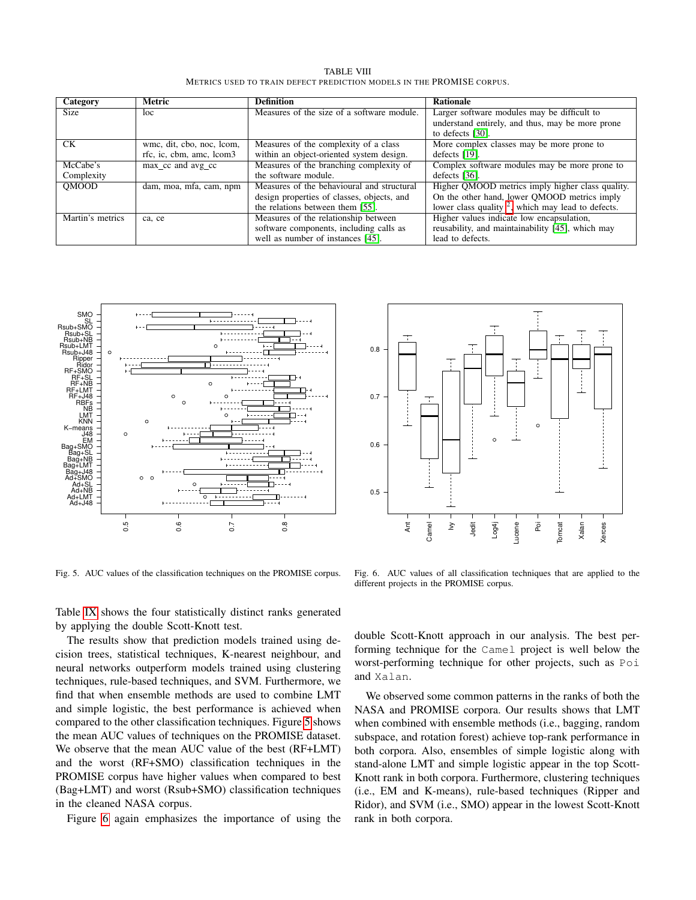TABLE VIII METRICS USED TO TRAIN DEFECT PREDICTION MODELS IN THE PROMISE CORPUS.

<span id="page-7-0"></span>

| Category         | Metric                    | <b>Definition</b>                          | <b>Rationale</b>                                      |
|------------------|---------------------------|--------------------------------------------|-------------------------------------------------------|
| <b>Size</b>      | loc                       | Measures of the size of a software module. | Larger software modules may be difficult to           |
|                  |                           |                                            | understand entirely, and thus, may be more prone      |
|                  |                           |                                            | to defects [30].                                      |
| CK.              | wmc, dit, cbo, noc, lcom, | Measures of the complexity of a class      | More complex classes may be more prone to             |
|                  | rfc, ic, cbm, amc, lcom3  | within an object-oriented system design.   | defects $[19]$ .                                      |
| McCabe's         | max_cc and avg_cc         | Measures of the branching complexity of    | Complex software modules may be more prone to         |
| Complexity       |                           | the software module.                       | defects $[36]$ .                                      |
| <b>OMOOD</b>     | dam, moa, mfa, cam, npm   | Measures of the behavioural and structural | Higher QMOOD metrics imply higher class quality.      |
|                  |                           | design properties of classes, objects, and | On the other hand, lower QMOOD metrics imply          |
|                  |                           | the relations between them [55].           | lower class quality $^2$ , which may lead to defects. |
| Martin's metrics | ca. ce                    | Measures of the relationship between       | Higher values indicate low encapsulation,             |
|                  |                           | software components, including calls as    | reusability, and maintainability [45], which may      |
|                  |                           | well as number of instances [45].          | lead to defects.                                      |



<span id="page-7-1"></span>Fig. 5. AUC values of the classification techniques on the PROMISE corpus.

Table [IX](#page-8-2) shows the four statistically distinct ranks generated by applying the double Scott-Knott test.

The results show that prediction models trained using decision trees, statistical techniques, K-nearest neighbour, and neural networks outperform models trained using clustering techniques, rule-based techniques, and SVM. Furthermore, we find that when ensemble methods are used to combine LMT and simple logistic, the best performance is achieved when compared to the other classification techniques. Figure [5](#page-7-1) shows the mean AUC values of techniques on the PROMISE dataset. We observe that the mean AUC value of the best (RF+LMT) and the worst (RF+SMO) classification techniques in the PROMISE corpus have higher values when compared to best (Bag+LMT) and worst (Rsub+SMO) classification techniques in the cleaned NASA corpus.

Figure [6](#page-7-2) again emphasizes the importance of using the



<span id="page-7-2"></span>Fig. 6. AUC values of all classification techniques that are applied to the different projects in the PROMISE corpus.

double Scott-Knott approach in our analysis. The best performing technique for the Camel project is well below the worst-performing technique for other projects, such as Poi and Xalan.

We observed some common patterns in the ranks of both the NASA and PROMISE corpora. Our results shows that LMT when combined with ensemble methods (i.e., bagging, random subspace, and rotation forest) achieve top-rank performance in both corpora. Also, ensembles of simple logistic along with stand-alone LMT and simple logistic appear in the top Scott-Knott rank in both corpora. Furthermore, clustering techniques (i.e., EM and K-means), rule-based techniques (Ripper and Ridor), and SVM (i.e., SMO) appear in the lowest Scott-Knott rank in both corpora.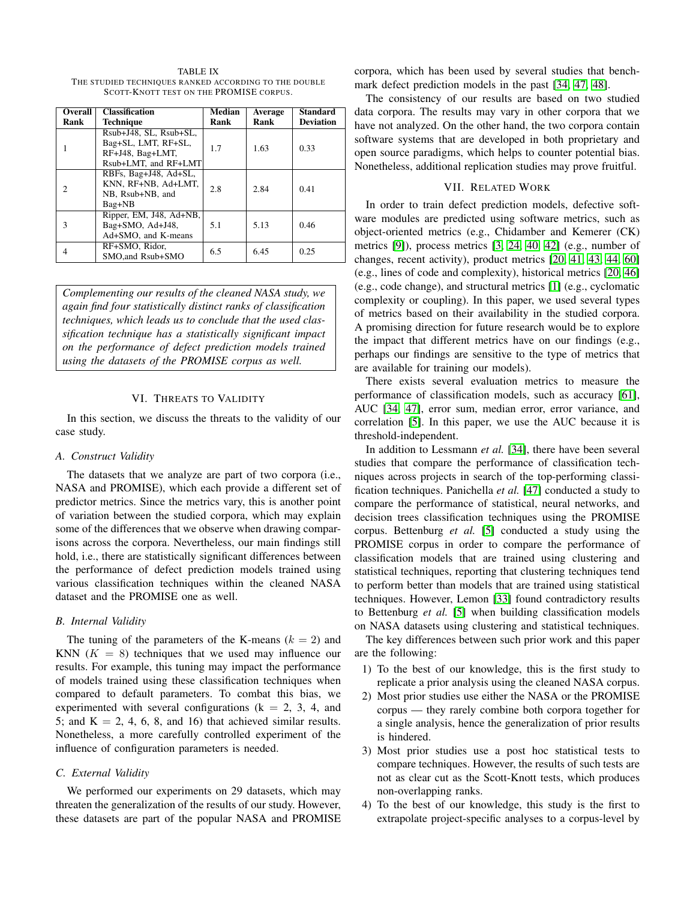<span id="page-8-2"></span>TABLE IX THE STUDIED TECHNIQUES RANKED ACCORDING TO THE DOUBLE SCOTT-KNOTT TEST ON THE PROMISE CORPUS.

| Overall | <b>Classification</b>                                                                     | Median | Average | <b>Standard</b>  |
|---------|-------------------------------------------------------------------------------------------|--------|---------|------------------|
| Rank    | Technique                                                                                 | Rank   | Rank    | <b>Deviation</b> |
|         | Rsub+J48, SL, Rsub+SL,<br>Bag+SL, LMT, RF+SL,<br>RF+J48, Bag+LMT,<br>Rsub+LMT, and RF+LMT | 1.7    | 1.63    | 0.33             |
| 2       | RBFs, Bag+J48, Ad+SL,<br>KNN, RF+NB, Ad+LMT,<br>NB. Rsub+NB, and<br>Bag+NB                | 2.8    | 2.84    | 0.41             |
| 3       | Ripper, EM, J48, Ad+NB,<br>Bag+SMO, Ad+J48,<br>Ad+SMO, and K-means                        | 5.1    | 5.13    | 0.46             |
| 4       | RF+SMO, Ridor,<br>SMO.and Rsub+SMO                                                        | 6.5    | 6.45    | 0.25             |

*Complementing our results of the cleaned NASA study, we again find four statistically distinct ranks of classification techniques, which leads us to conclude that the used classification technique has a statistically significant impact on the performance of defect prediction models trained using the datasets of the PROMISE corpus as well.*

## VI. THREATS TO VALIDITY

<span id="page-8-0"></span>In this section, we discuss the threats to the validity of our case study.

# *A. Construct Validity*

The datasets that we analyze are part of two corpora (i.e., NASA and PROMISE), which each provide a different set of predictor metrics. Since the metrics vary, this is another point of variation between the studied corpora, which may explain some of the differences that we observe when drawing comparisons across the corpora. Nevertheless, our main findings still hold, i.e., there are statistically significant differences between the performance of defect prediction models trained using various classification techniques within the cleaned NASA dataset and the PROMISE one as well.

# *B. Internal Validity*

The tuning of the parameters of the K-means  $(k = 2)$  and KNN  $(K = 8)$  techniques that we used may influence our results. For example, this tuning may impact the performance of models trained using these classification techniques when compared to default parameters. To combat this bias, we experimented with several configurations ( $k = 2, 3, 4$ , and 5; and  $K = 2, 4, 6, 8,$  and 16) that achieved similar results. Nonetheless, a more carefully controlled experiment of the influence of configuration parameters is needed.

#### *C. External Validity*

We performed our experiments on 29 datasets, which may threaten the generalization of the results of our study. However, these datasets are part of the popular NASA and PROMISE

corpora, which has been used by several studies that benchmark defect prediction models in the past [\[34,](#page-10-1) [47,](#page-11-1) [48\]](#page-11-16).

The consistency of our results are based on two studied data corpora. The results may vary in other corpora that we have not analyzed. On the other hand, the two corpora contain software systems that are developed in both proprietary and open source paradigms, which helps to counter potential bias. Nonetheless, additional replication studies may prove fruitful.

# VII. RELATED WORK

<span id="page-8-1"></span>In order to train defect prediction models, defective software modules are predicted using software metrics, such as object-oriented metrics (e.g., Chidamber and Kemerer (CK) metrics [\[9\]](#page-9-17)), process metrics [\[3,](#page-9-18) [24,](#page-10-2) [40,](#page-10-20) [42\]](#page-10-21) (e.g., number of changes, recent activity), product metrics [\[20,](#page-10-22) [41,](#page-10-23) [43,](#page-10-24) [44,](#page-10-25) [60\]](#page-11-18) (e.g., lines of code and complexity), historical metrics [\[20,](#page-10-22) [46\]](#page-10-26) (e.g., code change), and structural metrics [\[1\]](#page-9-19) (e.g., cyclomatic complexity or coupling). In this paper, we used several types of metrics based on their availability in the studied corpora. A promising direction for future research would be to explore the impact that different metrics have on our findings (e.g., perhaps our findings are sensitive to the type of metrics that are available for training our models).

There exists several evaluation metrics to measure the performance of classification models, such as accuracy [\[61\]](#page-11-5), AUC [\[34,](#page-10-1) [47\]](#page-11-1), error sum, median error, error variance, and correlation [\[5\]](#page-9-4). In this paper, we use the AUC because it is threshold-independent.

In addition to Lessmann *et al.* [\[34\]](#page-10-1), there have been several studies that compare the performance of classification techniques across projects in search of the top-performing classification techniques. Panichella *et al.* [\[47\]](#page-11-1) conducted a study to compare the performance of statistical, neural networks, and decision trees classification techniques using the PROMISE corpus. Bettenburg *et al.* [\[5\]](#page-9-4) conducted a study using the PROMISE corpus in order to compare the performance of classification models that are trained using clustering and statistical techniques, reporting that clustering techniques tend to perform better than models that are trained using statistical techniques. However, Lemon [\[33\]](#page-10-10) found contradictory results to Bettenburg *et al.* [\[5\]](#page-9-4) when building classification models on NASA datasets using clustering and statistical techniques.

The key differences between such prior work and this paper are the following:

- 1) To the best of our knowledge, this is the first study to replicate a prior analysis using the cleaned NASA corpus.
- 2) Most prior studies use either the NASA or the PROMISE corpus — they rarely combine both corpora together for a single analysis, hence the generalization of prior results is hindered.
- 3) Most prior studies use a post hoc statistical tests to compare techniques. However, the results of such tests are not as clear cut as the Scott-Knott tests, which produces non-overlapping ranks.
- 4) To the best of our knowledge, this study is the first to extrapolate project-specific analyses to a corpus-level by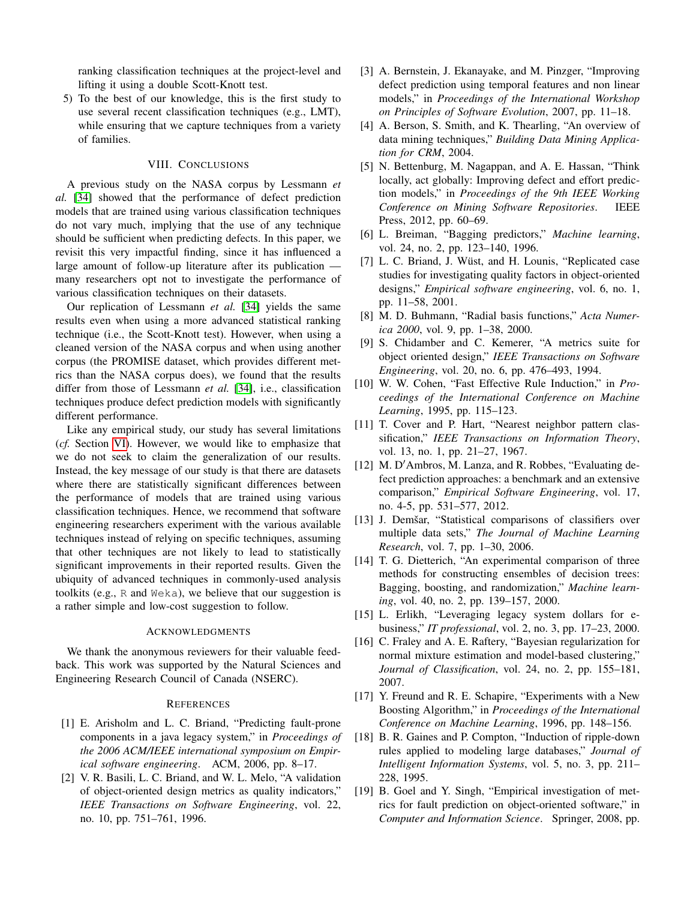ranking classification techniques at the project-level and lifting it using a double Scott-Knott test.

5) To the best of our knowledge, this is the first study to use several recent classification techniques (e.g., LMT), while ensuring that we capture techniques from a variety of families.

# VIII. CONCLUSIONS

<span id="page-9-6"></span>A previous study on the NASA corpus by Lessmann *et al.* [\[34\]](#page-10-1) showed that the performance of defect prediction models that are trained using various classification techniques do not vary much, implying that the use of any technique should be sufficient when predicting defects. In this paper, we revisit this very impactful finding, since it has influenced a large amount of follow-up literature after its publication many researchers opt not to investigate the performance of various classification techniques on their datasets.

Our replication of Lessmann *et al.* [\[34\]](#page-10-1) yields the same results even when using a more advanced statistical ranking technique (i.e., the Scott-Knott test). However, when using a cleaned version of the NASA corpus and when using another corpus (the PROMISE dataset, which provides different metrics than the NASA corpus does), we found that the results differ from those of Lessmann *et al.* [\[34\]](#page-10-1), i.e., classification techniques produce defect prediction models with significantly different performance.

Like any empirical study, our study has several limitations (*cf.* Section [VI\)](#page-8-0). However, we would like to emphasize that we do not seek to claim the generalization of our results. Instead, the key message of our study is that there are datasets where there are statistically significant differences between the performance of models that are trained using various classification techniques. Hence, we recommend that software engineering researchers experiment with the various available techniques instead of relying on specific techniques, assuming that other techniques are not likely to lead to statistically significant improvements in their reported results. Given the ubiquity of advanced techniques in commonly-used analysis toolkits (e.g., R and Weka), we believe that our suggestion is a rather simple and low-cost suggestion to follow.

#### ACKNOWLEDGMENTS

We thank the anonymous reviewers for their valuable feedback. This work was supported by the Natural Sciences and Engineering Research Council of Canada (NSERC).

#### **REFERENCES**

- <span id="page-9-19"></span>[1] E. Arisholm and L. C. Briand, "Predicting fault-prone components in a java legacy system," in *Proceedings of the 2006 ACM/IEEE international symposium on Empirical software engineering*. ACM, 2006, pp. 8–17.
- <span id="page-9-2"></span>[2] V. R. Basili, L. C. Briand, and W. L. Melo, "A validation of object-oriented design metrics as quality indicators," *IEEE Transactions on Software Engineering*, vol. 22, no. 10, pp. 751–761, 1996.
- <span id="page-9-18"></span>[3] A. Bernstein, J. Ekanayake, and M. Pinzger, "Improving defect prediction using temporal features and non linear models," in *Proceedings of the International Workshop on Principles of Software Evolution*, 2007, pp. 11–18.
- <span id="page-9-7"></span>[4] A. Berson, S. Smith, and K. Thearling, "An overview of data mining techniques," *Building Data Mining Application for CRM*, 2004.
- <span id="page-9-4"></span>[5] N. Bettenburg, M. Nagappan, and A. E. Hassan, "Think locally, act globally: Improving defect and effort prediction models," in *Proceedings of the 9th IEEE Working Conference on Mining Software Repositories*. IEEE Press, 2012, pp. 60–69.
- <span id="page-9-13"></span>[6] L. Breiman, "Bagging predictors," *Machine learning*, vol. 24, no. 2, pp. 123–140, 1996.
- <span id="page-9-3"></span>[7] L. C. Briand, J. Wüst, and H. Lounis, "Replicated case studies for investigating quality factors in object-oriented designs," *Empirical software engineering*, vol. 6, no. 1, pp. 11–58, 2001.
- <span id="page-9-11"></span>[8] M. D. Buhmann, "Radial basis functions," *Acta Numerica 2000*, vol. 9, pp. 1–38, 2000.
- <span id="page-9-17"></span>[9] S. Chidamber and C. Kemerer, "A metrics suite for object oriented design," *IEEE Transactions on Software Engineering*, vol. 20, no. 6, pp. 476–493, 1994.
- <span id="page-9-9"></span>[10] W. W. Cohen, "Fast Effective Rule Induction," in *Proceedings of the International Conference on Machine Learning*, 1995, pp. 115–123.
- <span id="page-9-12"></span>[11] T. Cover and P. Hart, "Nearest neighbor pattern classification," *IEEE Transactions on Information Theory*, vol. 13, no. 1, pp. 21–27, 1967.
- <span id="page-9-1"></span>[12] M. D'Ambros, M. Lanza, and R. Robbes, "Evaluating defect prediction approaches: a benchmark and an extensive comparison," *Empirical Software Engineering*, vol. 17, no. 4-5, pp. 531–577, 2012.
- <span id="page-9-15"></span>[13] J. Demšar, "Statistical comparisons of classifiers over multiple data sets," *The Journal of Machine Learning Research*, vol. 7, pp. 1–30, 2006.
- <span id="page-9-5"></span>[14] T. G. Dietterich, "An experimental comparison of three methods for constructing ensembles of decision trees: Bagging, boosting, and randomization," *Machine learning*, vol. 40, no. 2, pp. 139–157, 2000.
- <span id="page-9-0"></span>[15] L. Erlikh, "Leveraging legacy system dollars for ebusiness," *IT professional*, vol. 2, no. 3, pp. 17–23, 2000.
- <span id="page-9-8"></span>[16] C. Fraley and A. E. Raftery, "Bayesian regularization for normal mixture estimation and model-based clustering," *Journal of Classification*, vol. 24, no. 2, pp. 155–181, 2007.
- <span id="page-9-14"></span>[17] Y. Freund and R. E. Schapire, "Experiments with a New Boosting Algorithm," in *Proceedings of the International Conference on Machine Learning*, 1996, pp. 148–156.
- <span id="page-9-10"></span>[18] B. R. Gaines and P. Compton, "Induction of ripple-down rules applied to modeling large databases," *Journal of Intelligent Information Systems*, vol. 5, no. 3, pp. 211– 228, 1995.
- <span id="page-9-16"></span>[19] B. Goel and Y. Singh, "Empirical investigation of metrics for fault prediction on object-oriented software," in *Computer and Information Science*. Springer, 2008, pp.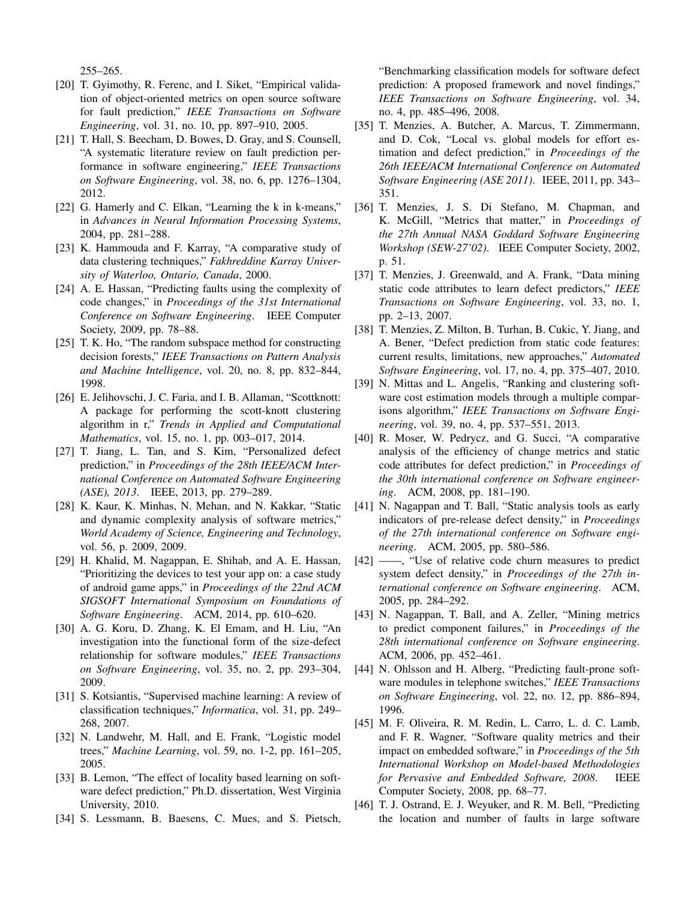255–265.

- <span id="page-10-22"></span>[20] T. Gyimothy, R. Ferenc, and I. Siket, "Empirical validation of object-oriented metrics on open source software for fault prediction," *IEEE Transactions on Software Engineering*, vol. 31, no. 10, pp. 897–910, 2005.
- <span id="page-10-0"></span>[21] T. Hall, S. Beecham, D. Bowes, D. Gray, and S. Counsell, "A systematic literature review on fault prediction performance in software engineering," *IEEE Transactions on Software Engineering*, vol. 38, no. 6, pp. 1276–1304, 2012.
- <span id="page-10-9"></span>[22] G. Hamerly and C. Elkan, "Learning the k in k-means," in *Advances in Neural Information Processing Systems*, 2004, pp. 281–288.
- <span id="page-10-8"></span>[23] K. Hammouda and F. Karray, "A comparative study of data clustering techniques," *Fakhreddine Karray University of Waterloo, Ontario, Canada*, 2000.
- <span id="page-10-2"></span>[24] A. E. Hassan, "Predicting faults using the complexity of code changes," in *Proceedings of the 31st International Conference on Software Engineering*. IEEE Computer Society, 2009, pp. 78–88.
- <span id="page-10-12"></span>[25] T. K. Ho, "The random subspace method for constructing decision forests," *IEEE Transactions on Pattern Analysis and Machine Intelligence*, vol. 20, no. 8, pp. 832–844, 1998.
- <span id="page-10-6"></span>[26] E. Jelihovschi, J. C. Faria, and I. B. Allaman, "Scottknott: A package for performing the scott-knott clustering algorithm in r," *Trends in Applied and Computational Mathematics*, vol. 15, no. 1, pp. 003–017, 2014.
- <span id="page-10-3"></span>[27] T. Jiang, L. Tan, and S. Kim, "Personalized defect prediction," in *Proceedings of the 28th IEEE/ACM International Conference on Automated Software Engineering (ASE), 2013*. IEEE, 2013, pp. 279–289.
- <span id="page-10-16"></span>[28] K. Kaur, K. Minhas, N. Mehan, and N. Kakkar, "Static and dynamic complexity analysis of software metrics," *World Academy of Science, Engineering and Technology*, vol. 56, p. 2009, 2009.
- <span id="page-10-13"></span>[29] H. Khalid, M. Nagappan, E. Shihab, and A. E. Hassan, "Prioritizing the devices to test your app on: a case study of android game apps," in *Proceedings of the 22nd ACM SIGSOFT International Symposium on Foundations of Software Engineering*. ACM, 2014, pp. 610–620.
- <span id="page-10-17"></span>[30] A. G. Koru, D. Zhang, K. El Emam, and H. Liu, "An investigation into the functional form of the size-defect relationship for software modules," *IEEE Transactions on Software Engineering*, vol. 35, no. 2, pp. 293–304, 2009.
- <span id="page-10-7"></span>[31] S. Kotsiantis, "Supervised machine learning: A review of classification techniques," *Informatica*, vol. 31, pp. 249– 268, 2007.
- <span id="page-10-11"></span>[32] N. Landwehr, M. Hall, and E. Frank, "Logistic model trees," *Machine Learning*, vol. 59, no. 1-2, pp. 161–205, 2005.
- <span id="page-10-10"></span>[33] B. Lemon, "The effect of locality based learning on software defect prediction," Ph.D. dissertation, West Virginia University, 2010.
- <span id="page-10-1"></span>[34] S. Lessmann, B. Baesens, C. Mues, and S. Pietsch,

"Benchmarking classification models for software defect prediction: A proposed framework and novel findings," *IEEE Transactions on Software Engineering*, vol. 34, no. 4, pp. 485–496, 2008.

- <span id="page-10-4"></span>[35] T. Menzies, A. Butcher, A. Marcus, T. Zimmermann, and D. Cok, "Local vs. global models for effort estimation and defect prediction," in *Proceedings of the 26th IEEE/ACM International Conference on Automated Software Engineering (ASE 2011)*. IEEE, 2011, pp. 343– 351.
- <span id="page-10-15"></span>[36] T. Menzies, J. S. Di Stefano, M. Chapman, and K. McGill, "Metrics that matter," in *Proceedings of the 27th Annual NASA Goddard Software Engineering Workshop (SEW-27'02)*. IEEE Computer Society, 2002, p. 51.
- <span id="page-10-18"></span>[37] T. Menzies, J. Greenwald, and A. Frank, "Data mining static code attributes to learn defect predictors," *IEEE Transactions on Software Engineering*, vol. 33, no. 1, pp. 2–13, 2007.
- <span id="page-10-5"></span>[38] T. Menzies, Z. Milton, B. Turhan, B. Cukic, Y. Jiang, and A. Bener, "Defect prediction from static code features: current results, limitations, new approaches," *Automated Software Engineering*, vol. 17, no. 4, pp. 375–407, 2010.
- <span id="page-10-14"></span>[39] N. Mittas and L. Angelis, "Ranking and clustering software cost estimation models through a multiple comparisons algorithm," *IEEE Transactions on Software Engineering*, vol. 39, no. 4, pp. 537–551, 2013.
- <span id="page-10-20"></span>[40] R. Moser, W. Pedrycz, and G. Succi, "A comparative analysis of the efficiency of change metrics and static code attributes for defect prediction," in *Proceedings of the 30th international conference on Software engineering*. ACM, 2008, pp. 181–190.
- <span id="page-10-23"></span>[41] N. Nagappan and T. Ball, "Static analysis tools as early indicators of pre-release defect density," in *Proceedings of the 27th international conference on Software engineering*. ACM, 2005, pp. 580–586.
- <span id="page-10-21"></span>[42] ——, "Use of relative code churn measures to predict system defect density," in *Proceedings of the 27th international conference on Software engineering*. ACM, 2005, pp. 284–292.
- <span id="page-10-24"></span>[43] N. Nagappan, T. Ball, and A. Zeller, "Mining metrics to predict component failures," in *Proceedings of the 28th international conference on Software engineering*. ACM, 2006, pp. 452–461.
- <span id="page-10-25"></span>[44] N. Ohlsson and H. Alberg, "Predicting fault-prone software modules in telephone switches," *IEEE Transactions on Software Engineering*, vol. 22, no. 12, pp. 886–894, 1996.
- <span id="page-10-19"></span>[45] M. F. Oliveira, R. M. Redin, L. Carro, L. d. C. Lamb, and F. R. Wagner, "Software quality metrics and their impact on embedded software," in *Proceedings of the 5th International Workshop on Model-based Methodologies for Pervasive and Embedded Software, 2008*. IEEE Computer Society, 2008, pp. 68–77.
- <span id="page-10-26"></span>[46] T. J. Ostrand, E. J. Weyuker, and R. M. Bell, "Predicting the location and number of faults in large software